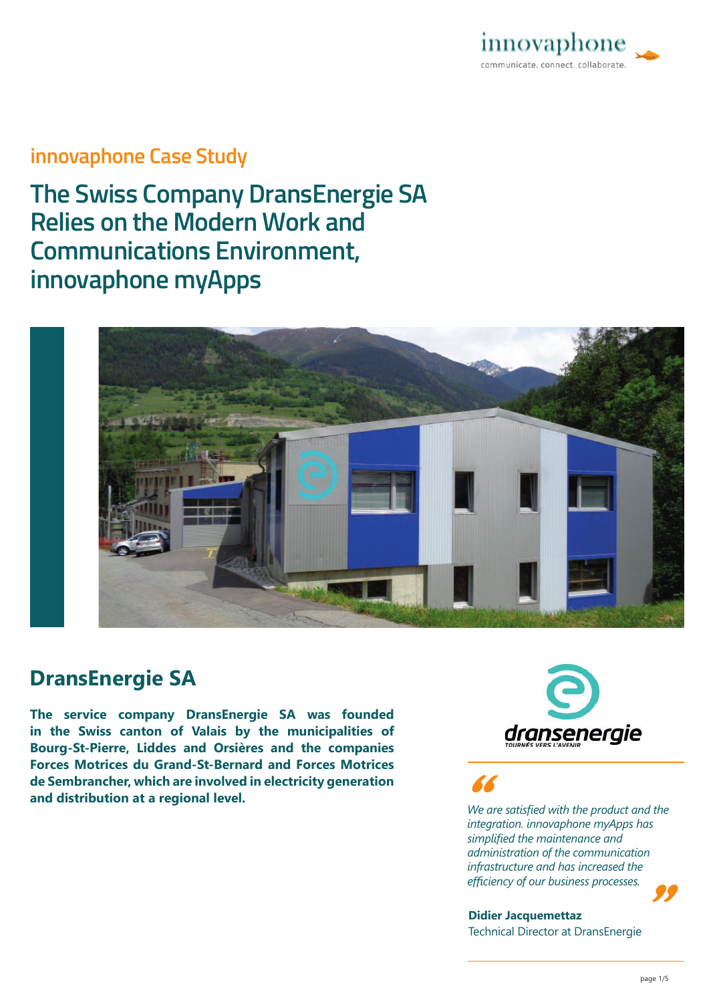

## **innovaphone Case Study**

**The Swiss Company DransEnergie SA Relies on the Modern Work and Communications Environment, innovaphone myApps**



## **DransEnergie SA**

**The service company DransEnergie SA was founded in the Swiss canton of Valais by the municipalities of Bourg-St-Pierre, Liddes and Orsières and the companies Forces Motrices du Grand-St-Bernard and Forces Motrices de Sembrancher, which are involved in electricity generation and distribution at a regional level.** *All and distribution at a regional level.**All and the are satisfied with the product and the* **<b>***We are satisfied with the product and the* 



*integration. innovaphone myApps has simplified the maintenance and administration of the communication infrastructure and has increased the <sup>e</sup>ffi ciency of our business processes.* "

"

**Didier Jacquemettaz**  Technical Director at DransEnergie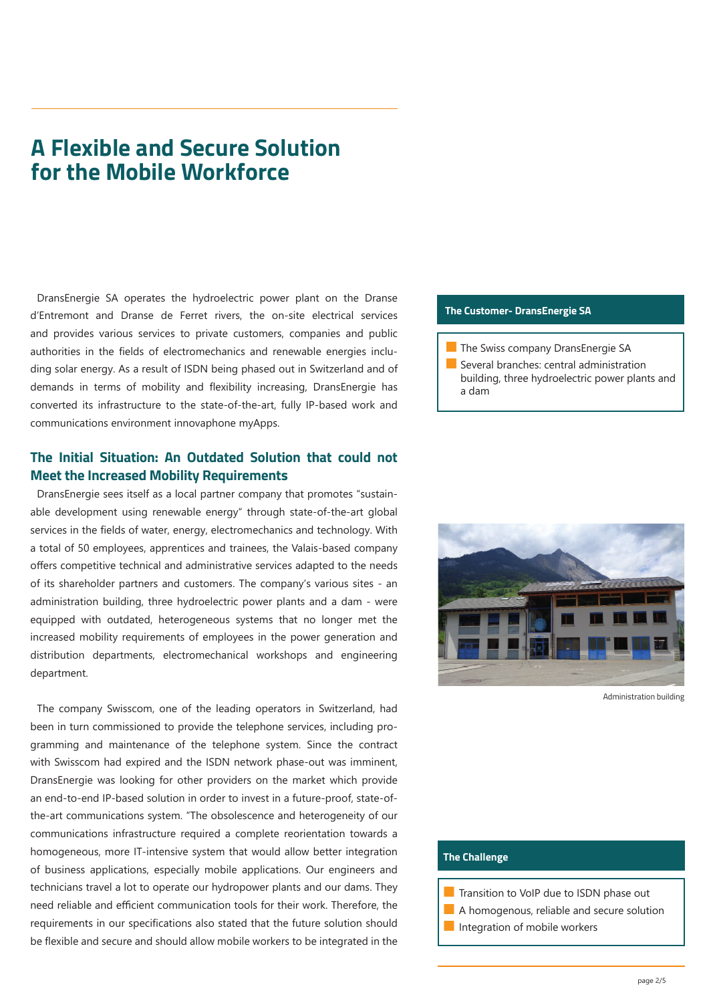# **A Flexible and Secure Solution for the Mobile Workforce**

DransEnergie SA operates the hydroelectric power plant on the Dranse d'Entremont and Dranse de Ferret rivers, the on-site electrical services and provides various services to private customers, companies and public authorities in the fields of electromechanics and renewable energies including solar energy. As a result of ISDN being phased out in Switzerland and of demands in terms of mobility and flexibility increasing, DransEnergie has converted its infrastructure to the state-of-the-art, fully IP-based work and communications environment innovaphone myApps.

## **The Initial Situation: An Outdated Solution that could not Meet the Increased Mobility Requirements**

DransEnergie sees itself as a local partner company that promotes "sustainable development using renewable energy" through state-of-the-art global services in the fields of water, energy, electromechanics and technology. With a total of 50 employees, apprentices and trainees, the Valais-based company offers competitive technical and administrative services adapted to the needs of its shareholder partners and customers. The company's various sites - an administration building, three hydroelectric power plants and a dam - were equipped with outdated, heterogeneous systems that no longer met the increased mobility requirements of employees in the power generation and distribution departments, electromechanical workshops and engineering department.

The company Swisscom, one of the leading operators in Switzerland, had been in turn commissioned to provide the telephone services, including programming and maintenance of the telephone system. Since the contract with Swisscom had expired and the ISDN network phase-out was imminent, DransEnergie was looking for other providers on the market which provide an end-to-end IP-based solution in order to invest in a future-proof, state-ofthe-art communications system. "The obsolescence and heterogeneity of our communications infrastructure required a complete reorientation towards a homogeneous, more IT-intensive system that would allow better integration of business applications, especially mobile applications. Our engineers and technicians travel a lot to operate our hydropower plants and our dams. They need reliable and efficient communication tools for their work. Therefore, the requirements in our specifications also stated that the future solution should be flexible and secure and should allow mobile workers to be integrated in the

#### **The Customer- DransEnergie SA**

**The Swiss company DransEnergie SA** 

■ Several branches: central administration building, three hydroelectric power plants and a dam



Administration building

### **The Challenge**

- Transition to VoIP due to ISDN phase out
- A homogenous, reliable and secure solution
- **■** Integration of mobile workers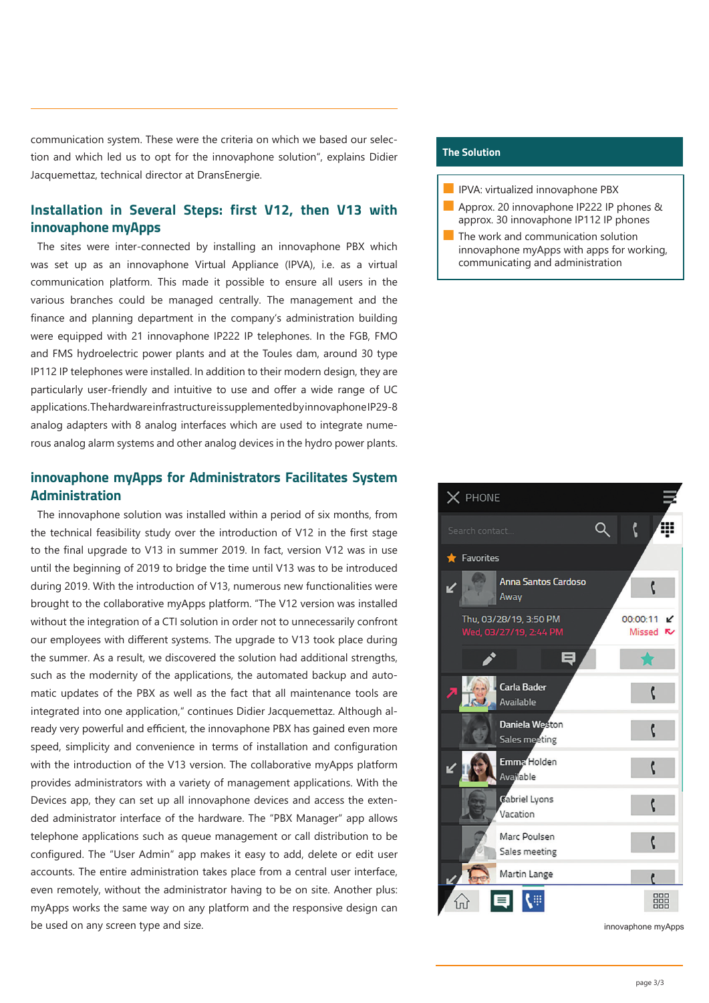communication system. These were the criteria on which we based our selection and which led us to opt for the innovaphone solution", explains Didier Jacquemettaz, technical director at DransEnergie.

## **Installation in Several Steps: first V12, then V13 with innovaphone myApps**

The sites were inter-connected by installing an innovaphone PBX which was set up as an innovaphone Virtual Appliance (IPVA), i.e. as a virtual communication platform. This made it possible to ensure all users in the various branches could be managed centrally. The management and the finance and planning department in the company's administration building were equipped with 21 innovaphone IP222 IP telephones. In the FGB, FMO and FMS hydroelectric power plants and at the Toules dam, around 30 type IP112 IP telephones were installed. In addition to their modern design, they are particularly user-friendly and intuitive to use and offer a wide range of UC applications. The hardware infrastructure is supplemented by innovaphone IP29-8 analog adapters with 8 analog interfaces which are used to integrate numerous analog alarm systems and other analog devices in the hydro power plants.

## **innovaphone myApps for Administrators Facilitates System Administration**

The innovaphone solution was installed within a period of six months, from the technical feasibility study over the introduction of V12 in the first stage to the final upgrade to V13 in summer 2019. In fact, version V12 was in use until the beginning of 2019 to bridge the time until V13 was to be introduced during 2019. With the introduction of V13, numerous new functionalities were brought to the collaborative myApps platform. "The V12 version was installed without the integration of a CTI solution in order not to unnecessarily confront our employees with different systems. The upgrade to V13 took place during the summer. As a result, we discovered the solution had additional strengths, such as the modernity of the applications, the automated backup and automatic updates of the PBX as well as the fact that all maintenance tools are integrated into one application," continues Didier Jacquemettaz. Although already very powerful and efficient, the innovaphone PBX has gained even more speed, simplicity and convenience in terms of installation and configuration with the introduction of the V13 version. The collaborative myApps platform provides administrators with a variety of management applications. With the Devices app, they can set up all innovaphone devices and access the extended administrator interface of the hardware. The "PBX Manager" app allows telephone applications such as queue management or call distribution to be configured. The "User Admin" app makes it easy to add, delete or edit user accounts. The entire administration takes place from a central user interface, even remotely, without the administrator having to be on site. Another plus: myApps works the same way on any platform and the responsive design can be used on any screen type and size.

## **The Solution**

- IPVA: virtualized innovaphone PBX
- Approx. 20 innovaphone IP222 IP phones & approx. 30 innovaphone IP112 IP phones
- The work and communication solution innovaphone myApps with apps for working, communicating and administration



innovaphone myApps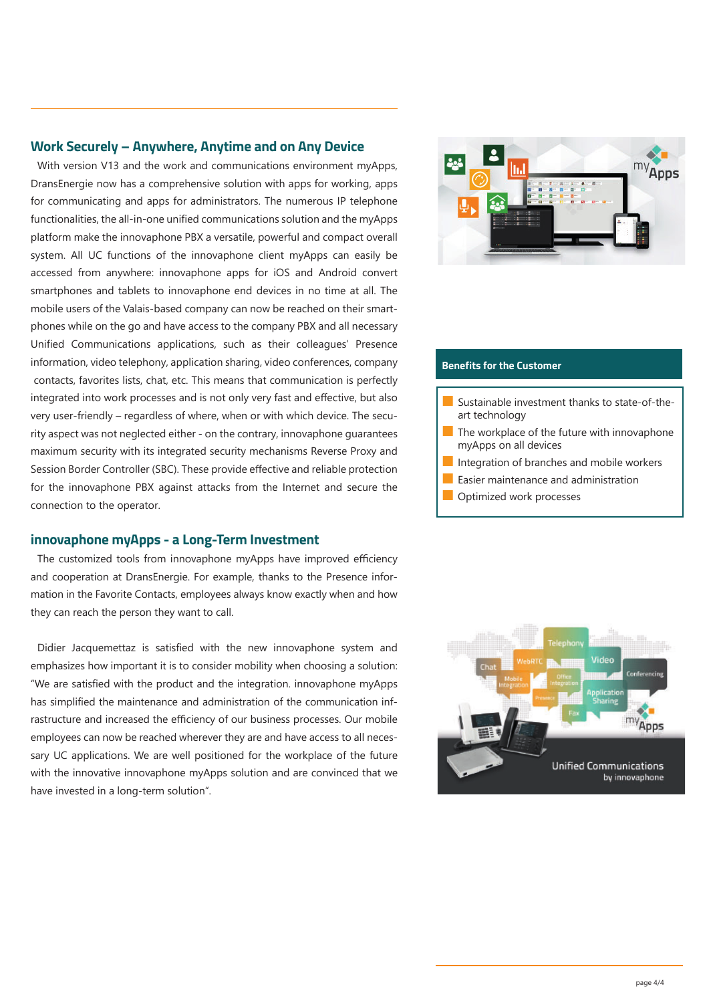### **Work Securely – Anywhere, Anytime and on Any Device**

With version V13 and the work and communications environment myApps, DransEnergie now has a comprehensive solution with apps for working, apps for communicating and apps for administrators. The numerous IP telephone functionalities, the all-in-one unified communications solution and the myApps platform make the innovaphone PBX a versatile, powerful and compact overall system. All UC functions of the innovaphone client myApps can easily be accessed from anywhere: innovaphone apps for iOS and Android convert smartphones and tablets to innovaphone end devices in no time at all. The mobile users of the Valais-based company can now be reached on their smartphones while on the go and have access to the company PBX and all necessary Unified Communications applications, such as their colleagues' Presence information, video telephony, application sharing, video conferences, company contacts, favorites lists, chat, etc. This means that communication is perfectly integrated into work processes and is not only very fast and effective, but also very user-friendly – regardless of where, when or with which device. The security aspect was not neglected either - on the contrary, innovaphone guarantees maximum security with its integrated security mechanisms Reverse Proxy and Session Border Controller (SBC). These provide effective and reliable protection for the innovaphone PBX against attacks from the Internet and secure the connection to the operator.

### **innovaphone myApps - a Long-Term Investment**

The customized tools from innovaphone myApps have improved efficiency and cooperation at DransEnergie. For example, thanks to the Presence information in the Favorite Contacts, employees always know exactly when and how they can reach the person they want to call.

Didier Jacquemettaz is satisfied with the new innovaphone system and emphasizes how important it is to consider mobility when choosing a solution: "We are satisfied with the product and the integration. innovaphone myApps has simplified the maintenance and administration of the communication infrastructure and increased the efficiency of our business processes. Our mobile employees can now be reached wherever they are and have access to all necessary UC applications. We are well positioned for the workplace of the future with the innovative innovaphone myApps solution and are convinced that we have invested in a long-term solution".



#### **Benefits for the Customer**

- Sustainable investment thanks to state-of-theart technology
- $\blacksquare$  The workplace of the future with innovaphone myApps on all devices
- Integration of branches and mobile workers
- Easier maintenance and administration
- Optimized work processes